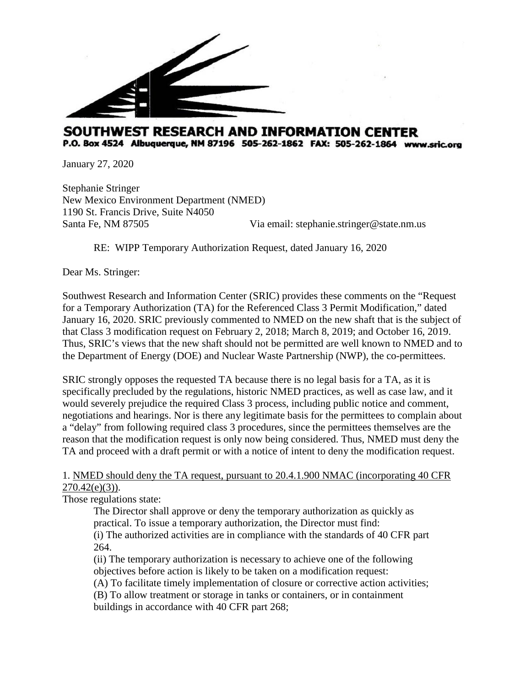

## SOUTHWEST RESEARCH AND INFORMATION CENTER P.O. Box 4524 Albuquerque, NM 87196 505-262-1862 FAX: 505-262-1864 www.sric.org

January 27, 2020

Stephanie Stringer New Mexico Environment Department (NMED) 1190 St. Francis Drive, Suite N4050 Santa Fe, NM 87505 Via email: stephanie.stringer@state.nm.us

RE: WIPP Temporary Authorization Request, dated January 16, 2020

Dear Ms. Stringer:

Southwest Research and Information Center (SRIC) provides these comments on the "Request for a Temporary Authorization (TA) for the Referenced Class 3 Permit Modification," dated January 16, 2020. SRIC previously commented to NMED on the new shaft that is the subject of that Class 3 modification request on February 2, 2018; March 8, 2019; and October 16, 2019. Thus, SRIC's views that the new shaft should not be permitted are well known to NMED and to the Department of Energy (DOE) and Nuclear Waste Partnership (NWP), the co-permittees.

SRIC strongly opposes the requested TA because there is no legal basis for a TA, as it is specifically precluded by the regulations, historic NMED practices, as well as case law, and it would severely prejudice the required Class 3 process, including public notice and comment, negotiations and hearings. Nor is there any legitimate basis for the permittees to complain about a "delay" from following required class 3 procedures, since the permittees themselves are the reason that the modification request is only now being considered. Thus, NMED must deny the TA and proceed with a draft permit or with a notice of intent to deny the modification request.

## 1. NMED should deny the TA request, pursuant to 20.4.1.900 NMAC (incorporating 40 CFR  $270.42(e)(3)$ ).

Those regulations state:

The Director shall approve or deny the temporary authorization as quickly as practical. To issue a temporary authorization, the Director must find: (i) The authorized activities are in compliance with the standards of 40 CFR part 264.

(ii) The temporary authorization is necessary to achieve one of the following objectives before action is likely to be taken on a modification request:

(A) To facilitate timely implementation of closure or corrective action activities;

(B) To allow treatment or storage in tanks or containers, or in containment

buildings in accordance with 40 CFR part 268;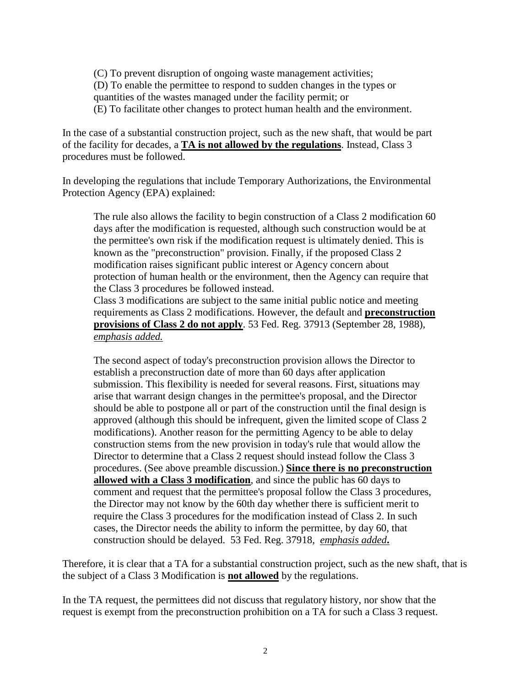(C) To prevent disruption of ongoing waste management activities; (D) To enable the permittee to respond to sudden changes in the types or quantities of the wastes managed under the facility permit; or (E) To facilitate other changes to protect human health and the environment.

In the case of a substantial construction project, such as the new shaft, that would be part of the facility for decades, a **TA is not allowed by the regulations**. Instead, Class 3 procedures must be followed.

In developing the regulations that include Temporary Authorizations, the Environmental Protection Agency (EPA) explained:

The rule also allows the facility to begin construction of a Class 2 modification 60 days after the modification is requested, although such construction would be at the permittee's own risk if the modification request is ultimately denied. This is known as the "preconstruction" provision. Finally, if the proposed Class 2 modification raises significant public interest or Agency concern about protection of human health or the environment, then the Agency can require that the Class 3 procedures be followed instead.

Class 3 modifications are subject to the same initial public notice and meeting requirements as Class 2 modifications. However, the default and **preconstruction provisions of Class 2 do not apply**. 53 Fed. Reg. 37913 (September 28, 1988), *emphasis added.*

The second aspect of today's preconstruction provision allows the Director to establish a preconstruction date of more than 60 days after application submission. This flexibility is needed for several reasons. First, situations may arise that warrant design changes in the permittee's proposal, and the Director should be able to postpone all or part of the construction until the final design is approved (although this should be infrequent, given the limited scope of Class 2 modifications). Another reason for the permitting Agency to be able to delay construction stems from the new provision in today's rule that would allow the Director to determine that a Class 2 request should instead follow the Class 3 procedures. (See above preamble discussion.) **Since there is no preconstruction allowed with a Class 3 modification**, and since the public has 60 days to comment and request that the permittee's proposal follow the Class 3 procedures, the Director may not know by the 60th day whether there is sufficient merit to require the Class 3 procedures for the modification instead of Class 2. In such cases, the Director needs the ability to inform the permittee, by day 60, that construction should be delayed. 53 Fed. Reg. 37918, *emphasis added***.**

Therefore, it is clear that a TA for a substantial construction project, such as the new shaft, that is the subject of a Class 3 Modification is **not allowed** by the regulations.

In the TA request, the permittees did not discuss that regulatory history, nor show that the request is exempt from the preconstruction prohibition on a TA for such a Class 3 request.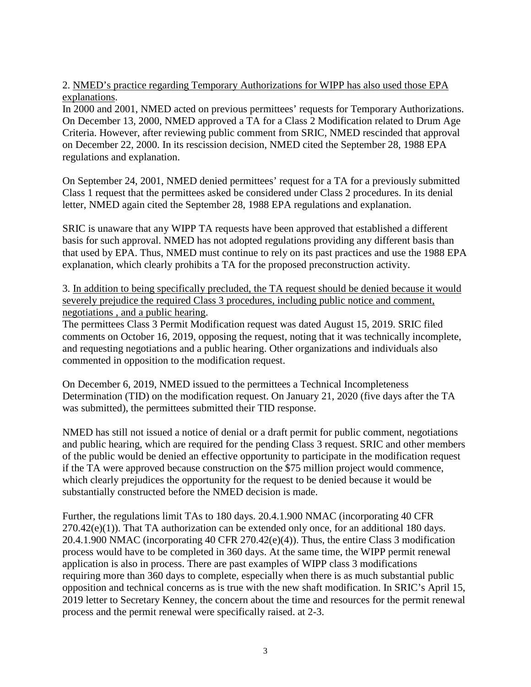2. NMED's practice regarding Temporary Authorizations for WIPP has also used those EPA explanations.

In 2000 and 2001, NMED acted on previous permittees' requests for Temporary Authorizations. On December 13, 2000, NMED approved a TA for a Class 2 Modification related to Drum Age Criteria. However, after reviewing public comment from SRIC, NMED rescinded that approval on December 22, 2000. In its rescission decision, NMED cited the September 28, 1988 EPA regulations and explanation.

On September 24, 2001, NMED denied permittees' request for a TA for a previously submitted Class 1 request that the permittees asked be considered under Class 2 procedures. In its denial letter, NMED again cited the September 28, 1988 EPA regulations and explanation.

SRIC is unaware that any WIPP TA requests have been approved that established a different basis for such approval. NMED has not adopted regulations providing any different basis than that used by EPA. Thus, NMED must continue to rely on its past practices and use the 1988 EPA explanation, which clearly prohibits a TA for the proposed preconstruction activity.

3. In addition to being specifically precluded, the TA request should be denied because it would severely prejudice the required Class 3 procedures, including public notice and comment, negotiations , and a public hearing.

The permittees Class 3 Permit Modification request was dated August 15, 2019. SRIC filed comments on October 16, 2019, opposing the request, noting that it was technically incomplete, and requesting negotiations and a public hearing. Other organizations and individuals also commented in opposition to the modification request.

On December 6, 2019, NMED issued to the permittees a Technical Incompleteness Determination (TID) on the modification request. On January 21, 2020 (five days after the TA was submitted), the permittees submitted their TID response.

NMED has still not issued a notice of denial or a draft permit for public comment, negotiations and public hearing, which are required for the pending Class 3 request. SRIC and other members of the public would be denied an effective opportunity to participate in the modification request if the TA were approved because construction on the \$75 million project would commence, which clearly prejudices the opportunity for the request to be denied because it would be substantially constructed before the NMED decision is made.

Further, the regulations limit TAs to 180 days. 20.4.1.900 NMAC (incorporating 40 CFR  $270.42(e)(1)$ ). That TA authorization can be extended only once, for an additional 180 days. 20.4.1.900 NMAC (incorporating 40 CFR 270.42(e)(4)). Thus, the entire Class 3 modification process would have to be completed in 360 days. At the same time, the WIPP permit renewal application is also in process. There are past examples of WIPP class 3 modifications requiring more than 360 days to complete, especially when there is as much substantial public opposition and technical concerns as is true with the new shaft modification. In SRIC's April 15, 2019 letter to Secretary Kenney, the concern about the time and resources for the permit renewal process and the permit renewal were specifically raised. at 2-3.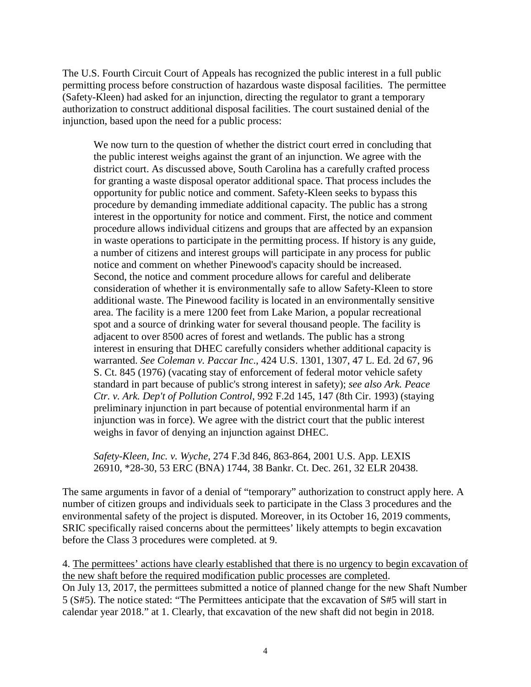The U.S. Fourth Circuit Court of Appeals has recognized the public interest in a full public permitting process before construction of hazardous waste disposal facilities. The permittee (Safety-Kleen) had asked for an injunction, directing the regulator to grant a temporary authorization to construct additional disposal facilities. The court sustained denial of the injunction, based upon the need for a public process:

We now turn to the question of whether the district court erred in concluding that the public interest weighs against the grant of an injunction. We agree with the district court. As discussed above, South Carolina has a carefully crafted process for granting a waste disposal operator additional space. That process includes the opportunity for public notice and comment. Safety-Kleen seeks to bypass this procedure by demanding immediate additional capacity. The public has a strong interest in the opportunity for notice and comment. First, the notice and comment procedure allows individual citizens and groups that are affected by an expansion in waste operations to participate in the permitting process. If history is any guide, a number of citizens and interest groups will participate in any process for public notice and comment on whether Pinewood's capacity should be increased. Second, the notice and comment procedure allows for careful and deliberate consideration of whether it is environmentally safe to allow Safety-Kleen to store additional waste. The Pinewood facility is located in an environmentally sensitive area. The facility is a mere 1200 feet from Lake Marion, a popular recreational spot and a source of drinking water for several thousand people. The facility is adjacent to over 8500 acres of forest and wetlands. The public has a strong interest in ensuring that DHEC carefully considers whether additional capacity is warranted. *See Coleman v. Paccar Inc*., 424 U.S. 1301, 1307, 47 L. Ed. 2d 67, 96 S. Ct. 845 (1976) (vacating stay of enforcement of federal motor vehicle safety standard in part because of public's strong interest in safety); *see also Ark. Peace Ctr. v. Ark. Dep't of Pollution Control*, 992 F.2d 145, 147 (8th Cir. 1993) (staying preliminary injunction in part because of potential environmental harm if an injunction was in force). We agree with the district court that the public interest weighs in favor of denying an injunction against DHEC.

*Safety-Kleen, Inc. v. Wyche*, 274 F.3d 846, 863-864, 2001 U.S. App. LEXIS 26910, \*28-30, 53 ERC (BNA) 1744, 38 Bankr. Ct. Dec. 261, 32 ELR 20438.

The same arguments in favor of a denial of "temporary" authorization to construct apply here. A number of citizen groups and individuals seek to participate in the Class 3 procedures and the environmental safety of the project is disputed. Moreover, in its October 16, 2019 comments, SRIC specifically raised concerns about the permittees' likely attempts to begin excavation before the Class 3 procedures were completed. at 9.

4. The permittees' actions have clearly established that there is no urgency to begin excavation of the new shaft before the required modification public processes are completed.

On July 13, 2017, the permittees submitted a notice of planned change for the new Shaft Number 5 (S#5). The notice stated: "The Permittees anticipate that the excavation of S#5 will start in calendar year 2018." at 1. Clearly, that excavation of the new shaft did not begin in 2018.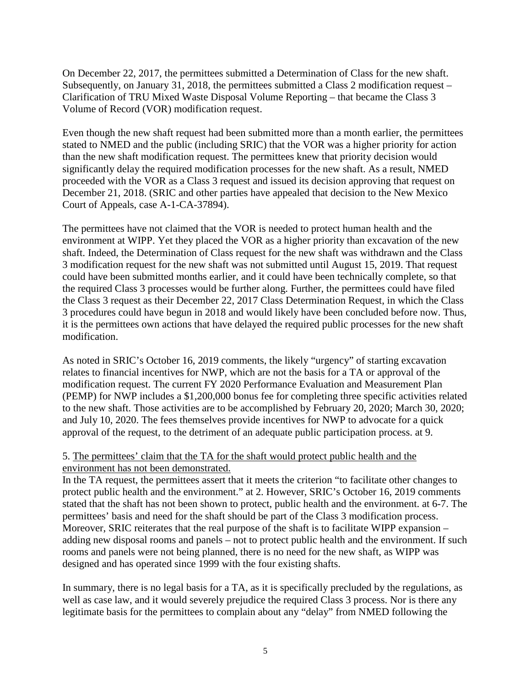On December 22, 2017, the permittees submitted a Determination of Class for the new shaft. Subsequently, on January 31, 2018, the permittees submitted a Class 2 modification request – Clarification of TRU Mixed Waste Disposal Volume Reporting – that became the Class 3 Volume of Record (VOR) modification request.

Even though the new shaft request had been submitted more than a month earlier, the permittees stated to NMED and the public (including SRIC) that the VOR was a higher priority for action than the new shaft modification request. The permittees knew that priority decision would significantly delay the required modification processes for the new shaft. As a result, NMED proceeded with the VOR as a Class 3 request and issued its decision approving that request on December 21, 2018. (SRIC and other parties have appealed that decision to the New Mexico Court of Appeals, case A-1-CA-37894).

The permittees have not claimed that the VOR is needed to protect human health and the environment at WIPP. Yet they placed the VOR as a higher priority than excavation of the new shaft. Indeed, the Determination of Class request for the new shaft was withdrawn and the Class 3 modification request for the new shaft was not submitted until August 15, 2019. That request could have been submitted months earlier, and it could have been technically complete, so that the required Class 3 processes would be further along. Further, the permittees could have filed the Class 3 request as their December 22, 2017 Class Determination Request, in which the Class 3 procedures could have begun in 2018 and would likely have been concluded before now. Thus, it is the permittees own actions that have delayed the required public processes for the new shaft modification.

As noted in SRIC's October 16, 2019 comments, the likely "urgency" of starting excavation relates to financial incentives for NWP, which are not the basis for a TA or approval of the modification request. The current FY 2020 Performance Evaluation and Measurement Plan (PEMP) for NWP includes a \$1,200,000 bonus fee for completing three specific activities related to the new shaft. Those activities are to be accomplished by February 20, 2020; March 30, 2020; and July 10, 2020. The fees themselves provide incentives for NWP to advocate for a quick approval of the request, to the detriment of an adequate public participation process. at 9.

## 5. The permittees' claim that the TA for the shaft would protect public health and the environment has not been demonstrated.

In the TA request, the permittees assert that it meets the criterion "to facilitate other changes to protect public health and the environment." at 2. However, SRIC's October 16, 2019 comments stated that the shaft has not been shown to protect, public health and the environment. at 6-7. The permittees' basis and need for the shaft should be part of the Class 3 modification process. Moreover, SRIC reiterates that the real purpose of the shaft is to facilitate WIPP expansion – adding new disposal rooms and panels – not to protect public health and the environment. If such rooms and panels were not being planned, there is no need for the new shaft, as WIPP was designed and has operated since 1999 with the four existing shafts.

In summary, there is no legal basis for a TA, as it is specifically precluded by the regulations, as well as case law, and it would severely prejudice the required Class 3 process. Nor is there any legitimate basis for the permittees to complain about any "delay" from NMED following the